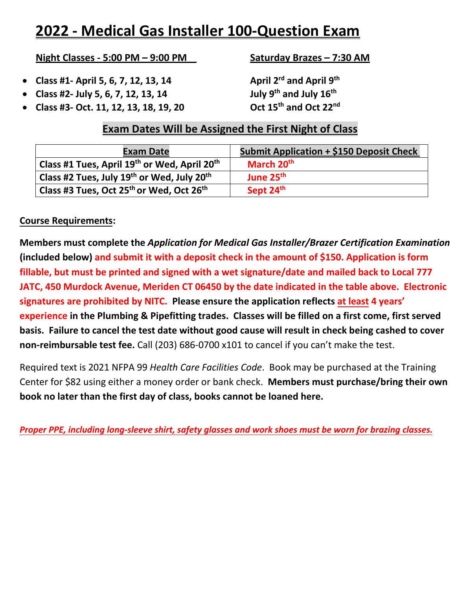# **2022 - Medical Gas Installer 100-Question Exam**

#### **Night Classes - 5:00 PM – 9:00 PM Saturday Brazes – 7:30 AM**

- **Class #1- April 5, 6, 7, 12, 13, 14 April 2rd and April 9th**
- **Class #2- July 5, 6, 7, 12, 13, 14 July 9th and July 16th**
- **Class #3- Oct. 11, 12, 13, 18, 19, 20 Oct 15th and Oct 22nd**

### **Exam Dates Will be Assigned the First Night of Class**

| <b>Exam Date</b>                                                   | <b>Submit Application + \$150 Deposit Check</b> |  |  |
|--------------------------------------------------------------------|-------------------------------------------------|--|--|
| Class #1 Tues, April 19th or Wed, April 20th                       | March 20 <sup>th</sup>                          |  |  |
| Class #2 Tues, July 19 <sup>th</sup> or Wed, July 20 <sup>th</sup> | June 25 <sup>th</sup>                           |  |  |
| Class #3 Tues, Oct 25 <sup>th</sup> or Wed, Oct 26 <sup>th</sup>   | Sept 24th                                       |  |  |

#### **Course Requirements:**

**Members must complete the** *Application for Medical Gas Installer/Brazer Certification Examination* **(included below) and submit it with a deposit check in the amount of \$150. Application is form fillable, but must be printed and signed with a wet signature/date and mailed back to Local 777 JATC, 450 Murdock Avenue, Meriden CT 06450 by the date indicated in the table above. Electronic signatures are prohibited by NITC. Please ensure the application reflects at least 4 years' experience in the Plumbing & Pipefitting trades. Classes will be filled on a first come, first served basis. Failure to cancel the test date without good cause will result in check being cashed to cover non-reimbursable test fee.** Call (203) 686-0700 x101 to cancel if you can't make the test.

Required text is 2021 NFPA 99 *Health Care Facilities Code*. Book may be purchased at the Training Center for \$82 using either a money order or bank check. **Members must purchase/bring their own book no later than the first day of class, books cannot be loaned here.** 

*Proper PPE, including long-sleeve shirt, safety glasses and work shoes must be worn for brazing classes.*